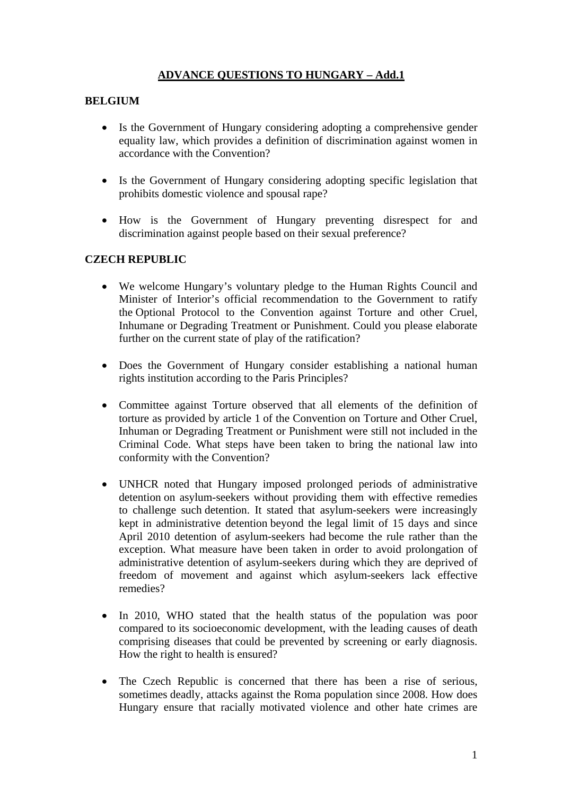# **ADVANCE QUESTIONS TO HUNGARY – Add.1**

## **BELGIUM**

- Is the Government of Hungary considering adopting a comprehensive gender equality law, which provides a definition of discrimination against women in accordance with the Convention?
- Is the Government of Hungary considering adopting specific legislation that prohibits domestic violence and spousal rape?
- How is the Government of Hungary preventing disrespect for and discrimination against people based on their sexual preference?

#### **CZECH REPUBLIC**

- We welcome Hungary's voluntary pledge to the Human Rights Council and Minister of Interior's official recommendation to the Government to ratify the Optional Protocol to the Convention against Torture and other Cruel, Inhumane or Degrading Treatment or Punishment. Could you please elaborate further on the current state of play of the ratification?
- Does the Government of Hungary consider establishing a national human rights institution according to the Paris Principles?
- Committee against Torture observed that all elements of the definition of torture as provided by article 1 of the Convention on Torture and Other Cruel, Inhuman or Degrading Treatment or Punishment were still not included in the Criminal Code. What steps have been taken to bring the national law into conformity with the Convention?
- UNHCR noted that Hungary imposed prolonged periods of administrative detention on asylum-seekers without providing them with effective remedies to challenge such detention. It stated that asylum-seekers were increasingly kept in administrative detention beyond the legal limit of 15 days and since April 2010 detention of asylum-seekers had become the rule rather than the exception. What measure have been taken in order to avoid prolongation of administrative detention of asylum-seekers during which they are deprived of freedom of movement and against which asylum-seekers lack effective remedies?
- In 2010, WHO stated that the health status of the population was poor compared to its socioeconomic development, with the leading causes of death comprising diseases that could be prevented by screening or early diagnosis. How the right to health is ensured?
- The Czech Republic is concerned that there has been a rise of serious, sometimes deadly, attacks against the Roma population since 2008. How does Hungary ensure that racially motivated violence and other hate crimes are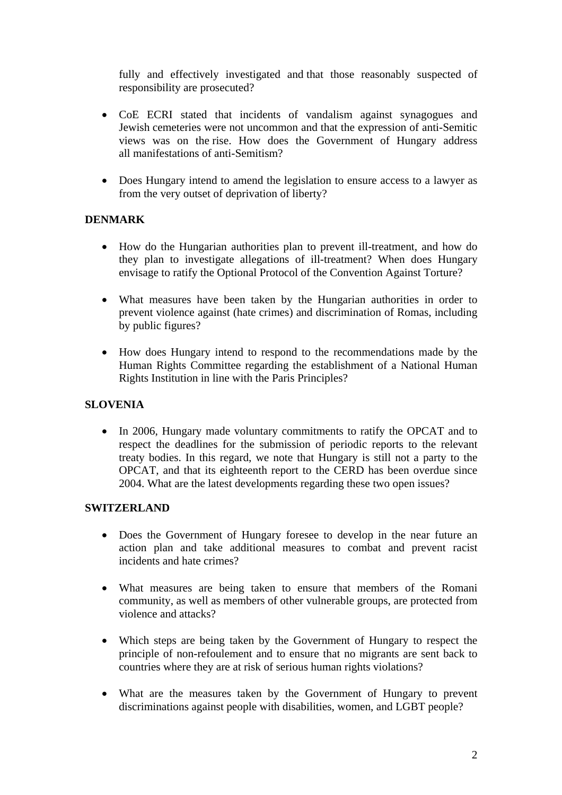fully and effectively investigated and that those reasonably suspected of responsibility are prosecuted?

- CoE ECRI stated that incidents of vandalism against synagogues and Jewish cemeteries were not uncommon and that the expression of anti-Semitic views was on the rise. How does the Government of Hungary address all manifestations of anti-Semitism?
- Does Hungary intend to amend the legislation to ensure access to a lawyer as from the very outset of deprivation of liberty?

#### **DENMARK**

- How do the Hungarian authorities plan to prevent ill-treatment, and how do they plan to investigate allegations of ill-treatment? When does Hungary envisage to ratify the Optional Protocol of the Convention Against Torture?
- What measures have been taken by the Hungarian authorities in order to prevent violence against (hate crimes) and discrimination of Romas, including by public figures?
- How does Hungary intend to respond to the recommendations made by the Human Rights Committee regarding the establishment of a National Human Rights Institution in line with the Paris Principles?

## **SLOVENIA**

• In 2006, Hungary made voluntary commitments to ratify the OPCAT and to respect the deadlines for the submission of periodic reports to the relevant treaty bodies. In this regard, we note that Hungary is still not a party to the OPCAT, and that its eighteenth report to the CERD has been overdue since 2004. What are the latest developments regarding these two open issues?

#### **SWITZERLAND**

- Does the Government of Hungary foresee to develop in the near future an action plan and take additional measures to combat and prevent racist incidents and hate crimes?
- What measures are being taken to ensure that members of the Romani community, as well as members of other vulnerable groups, are protected from violence and attacks?
- Which steps are being taken by the Government of Hungary to respect the principle of non-refoulement and to ensure that no migrants are sent back to countries where they are at risk of serious human rights violations?
- What are the measures taken by the Government of Hungary to prevent discriminations against people with disabilities, women, and LGBT people?